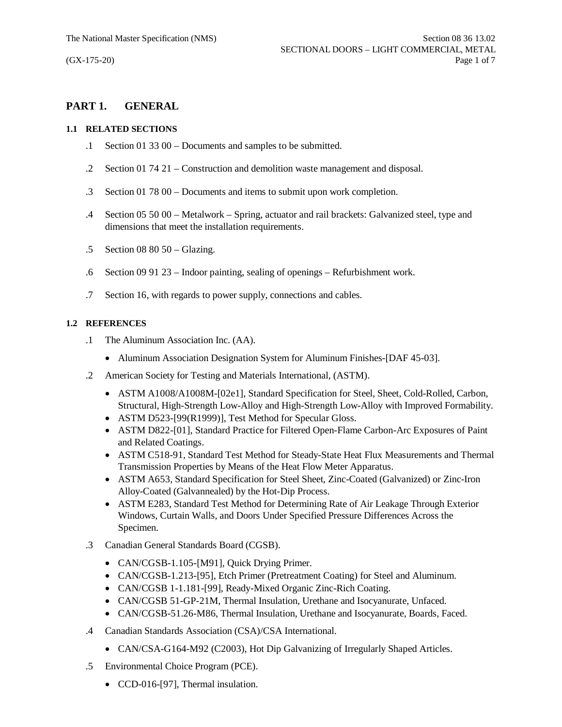# **PART 1. GENERAL**

## **1.1 RELATED SECTIONS**

- .1 Section 01 33 00 Documents and samples to be submitted.
- .2 Section 01 74 21 Construction and demolition waste management and disposal.
- .3 Section 01 78 00 Documents and items to submit upon work completion.
- .4 Section 05 50 00 Metalwork Spring, actuator and rail brackets: Galvanized steel, type and dimensions that meet the installation requirements.
- .5 Section 08 80 50 Glazing.
- .6 Section 09 91 23 Indoor painting, sealing of openings Refurbishment work.
- .7 Section 16, with regards to power supply, connections and cables.

## **1.2 REFERENCES**

- .1 The Aluminum Association Inc. (AA).
	- Aluminum Association Designation System for Aluminum Finishes-[DAF 45-03].
- .2 American Society for Testing and Materials International, (ASTM).
	- · ASTM A1008/A1008M-[02e1], Standard Specification for Steel, Sheet, Cold-Rolled, Carbon, Structural, High-Strength Low-Alloy and High-Strength Low-Alloy with Improved Formability.
	- ASTM D523-[99(R1999)], Test Method for Specular Gloss.
	- · ASTM D822-[01], Standard Practice for Filtered Open-Flame Carbon-Arc Exposures of Paint and Related Coatings.
	- · ASTM C518-91, Standard Test Method for Steady-State Heat Flux Measurements and Thermal Transmission Properties by Means of the Heat Flow Meter Apparatus.
	- · ASTM A653, Standard Specification for Steel Sheet, Zinc-Coated (Galvanized) or Zinc-Iron Alloy-Coated (Galvannealed) by the Hot-Dip Process.
	- · ASTM E283, Standard Test Method for Determining Rate of Air Leakage Through Exterior Windows, Curtain Walls, and Doors Under Specified Pressure Differences Across the Specimen.
- .3 Canadian General Standards Board (CGSB).
	- CAN/CGSB-1.105-[M91], Quick Drying Primer.
	- · CAN/CGSB-1.213-[95], Etch Primer (Pretreatment Coating) for Steel and Aluminum.
	- · CAN/CGSB 1-1.181-[99], Ready-Mixed Organic Zinc-Rich Coating.
	- · CAN/CGSB 51-GP-21M, Thermal Insulation, Urethane and Isocyanurate, Unfaced.
	- · CAN/CGSB-51.26-M86, Thermal Insulation, Urethane and Isocyanurate, Boards, Faced.
- .4 Canadian Standards Association (CSA)/CSA International.
	- CAN/CSA-G164-M92 (C2003), Hot Dip Galvanizing of Irregularly Shaped Articles.
- .5 Environmental Choice Program (PCE).
	- CCD-016-[97], Thermal insulation.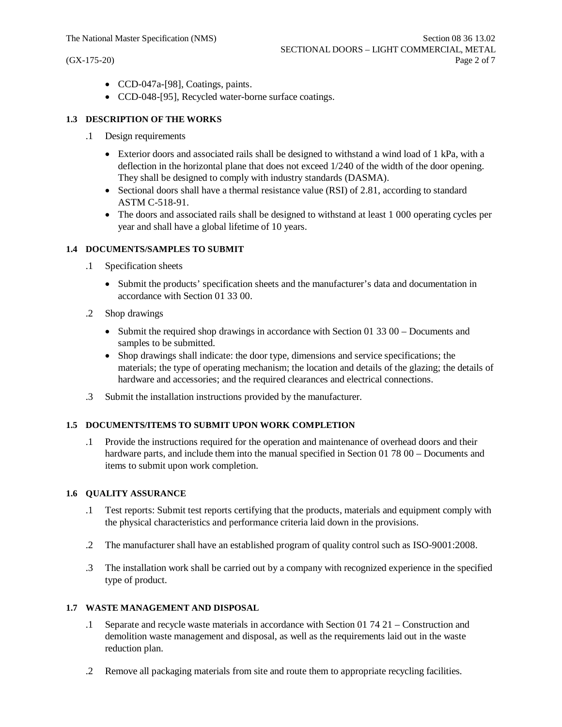- · CCD-047a-[98], Coatings, paints.
- · CCD-048-[95], Recycled water-borne surface coatings.

## **1.3 DESCRIPTION OF THE WORKS**

- .1 Design requirements
	- Exterior doors and associated rails shall be designed to withstand a wind load of 1 kPa, with a deflection in the horizontal plane that does not exceed 1/240 of the width of the door opening. They shall be designed to comply with industry standards (DASMA).
	- Sectional doors shall have a thermal resistance value (RSI) of 2.81, according to standard ASTM C-518-91.
	- The doors and associated rails shall be designed to withstand at least 1 000 operating cycles per year and shall have a global lifetime of 10 years.

### **1.4 DOCUMENTS/SAMPLES TO SUBMIT**

- .1 Specification sheets
	- · Submit the products' specification sheets and the manufacturer's data and documentation in accordance with Section 01 33 00.
- .2 Shop drawings
	- Submit the required shop drawings in accordance with Section 01 33 00 Documents and samples to be submitted.
	- · Shop drawings shall indicate: the door type, dimensions and service specifications; the materials; the type of operating mechanism; the location and details of the glazing; the details of hardware and accessories; and the required clearances and electrical connections.
- .3 Submit the installation instructions provided by the manufacturer.

## **1.5 DOCUMENTS/ITEMS TO SUBMIT UPON WORK COMPLETION**

.1 Provide the instructions required for the operation and maintenance of overhead doors and their hardware parts, and include them into the manual specified in Section 01 78 00 – Documents and items to submit upon work completion.

#### **1.6 QUALITY ASSURANCE**

- .1 Test reports: Submit test reports certifying that the products, materials and equipment comply with the physical characteristics and performance criteria laid down in the provisions.
- .2 The manufacturer shall have an established program of quality control such as ISO-9001:2008.
- .3 The installation work shall be carried out by a company with recognized experience in the specified type of product.

### **1.7 WASTE MANAGEMENT AND DISPOSAL**

- .1 Separate and recycle waste materials in accordance with Section 01 74 21 Construction and demolition waste management and disposal, as well as the requirements laid out in the waste reduction plan.
- .2 Remove all packaging materials from site and route them to appropriate recycling facilities.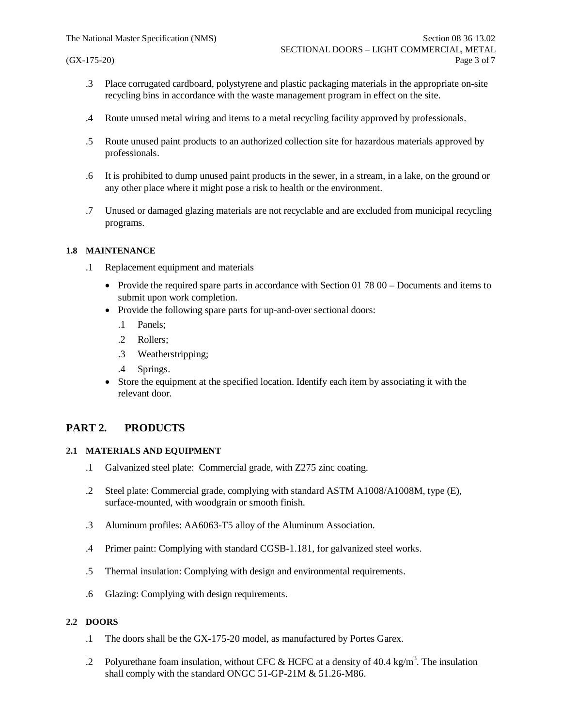- .3 Place corrugated cardboard, polystyrene and plastic packaging materials in the appropriate on-site recycling bins in accordance with the waste management program in effect on the site.
- .4 Route unused metal wiring and items to a metal recycling facility approved by professionals.
- .5 Route unused paint products to an authorized collection site for hazardous materials approved by professionals.
- .6 It is prohibited to dump unused paint products in the sewer, in a stream, in a lake, on the ground or any other place where it might pose a risk to health or the environment.
- .7 Unused or damaged glazing materials are not recyclable and are excluded from municipal recycling programs.

### **1.8 MAINTENANCE**

- .1 Replacement equipment and materials
	- Provide the required spare parts in accordance with Section 01 78 00 Documents and items to submit upon work completion.
	- Provide the following spare parts for up-and-over sectional doors:
		- .1 Panels;
		- .2 Rollers;
		- .3 Weatherstripping;
		- .4 Springs.
	- Store the equipment at the specified location. Identify each item by associating it with the relevant door.

## **PART 2. PRODUCTS**

#### **2.1 MATERIALS AND EQUIPMENT**

- .1 Galvanized steel plate: Commercial grade, with Z275 zinc coating.
- .2 Steel plate: Commercial grade, complying with standard ASTM A1008/A1008M, type (E), surface-mounted, with woodgrain or smooth finish.
- .3 Aluminum profiles: AA6063-T5 alloy of the Aluminum Association.
- .4 Primer paint: Complying with standard CGSB-1.181, for galvanized steel works.
- .5 Thermal insulation: Complying with design and environmental requirements.
- .6 Glazing: Complying with design requirements.

## **2.2 DOORS**

- .1 The doors shall be the GX-175-20 model, as manufactured by Portes Garex.
- .2 Polyurethane foam insulation, without CFC & HCFC at a density of 40.4 kg/m<sup>3</sup>. The insulation shall comply with the standard ONGC 51-GP-21M & 51.26-M86.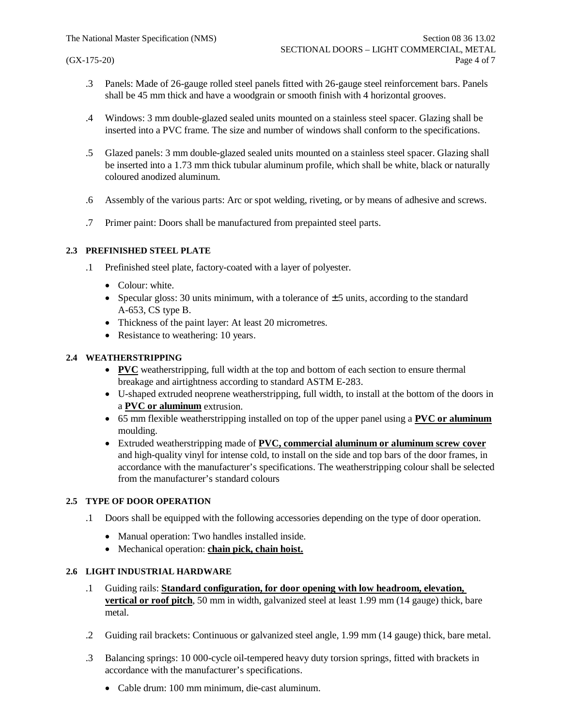- .3 Panels: Made of 26-gauge rolled steel panels fitted with 26-gauge steel reinforcement bars. Panels shall be 45 mm thick and have a woodgrain or smooth finish with 4 horizontal grooves.
- .4 Windows: 3 mm double-glazed sealed units mounted on a stainless steel spacer. Glazing shall be inserted into a PVC frame. The size and number of windows shall conform to the specifications.
- .5 Glazed panels: 3 mm double-glazed sealed units mounted on a stainless steel spacer. Glazing shall be inserted into a 1.73 mm thick tubular aluminum profile, which shall be white, black or naturally coloured anodized aluminum.
- .6 Assembly of the various parts: Arc or spot welding, riveting, or by means of adhesive and screws.
- .7 Primer paint: Doors shall be manufactured from prepainted steel parts.

## **2.3 PREFINISHED STEEL PLATE**

- .1 Prefinished steel plate, factory-coated with a layer of polyester.
	- Colour: white.
	- Specular gloss: 30 units minimum, with a tolerance of  $\pm$  5 units, according to the standard A-653, CS type B.
	- · Thickness of the paint layer: At least 20 micrometres.
	- Resistance to weathering: 10 years.

## **2.4 WEATHERSTRIPPING**

- · **PVC** weatherstripping, full width at the top and bottom of each section to ensure thermal breakage and airtightness according to standard ASTM E-283.
- · U-shaped extruded neoprene weatherstripping, full width, to install at the bottom of the doors in a **PVC or aluminum** extrusion.
- · 65 mm flexible weatherstripping installed on top of the upper panel using a **PVC or aluminum** moulding.
- · Extruded weatherstripping made of **PVC, commercial aluminum or aluminum screw cover** and high-quality vinyl for intense cold, to install on the side and top bars of the door frames, in accordance with the manufacturer's specifications. The weatherstripping colour shall be selected from the manufacturer's standard colours

## **2.5 TYPE OF DOOR OPERATION**

- .1 Doors shall be equipped with the following accessories depending on the type of door operation.
	- Manual operation: Two handles installed inside.
	- · Mechanical operation: **chain pick, chain hoist.**

## **2.6 LIGHT INDUSTRIAL HARDWARE**

- .1 Guiding rails: **Standard configuration, for door opening with low headroom, elevation, vertical or roof pitch**, 50 mm in width, galvanized steel at least 1.99 mm (14 gauge) thick, bare metal.
- .2 Guiding rail brackets: Continuous or galvanized steel angle, 1.99 mm (14 gauge) thick, bare metal.
- .3 Balancing springs: 10 000-cycle oil-tempered heavy duty torsion springs, fitted with brackets in accordance with the manufacturer's specifications.
	- · Cable drum: 100 mm minimum, die-cast aluminum.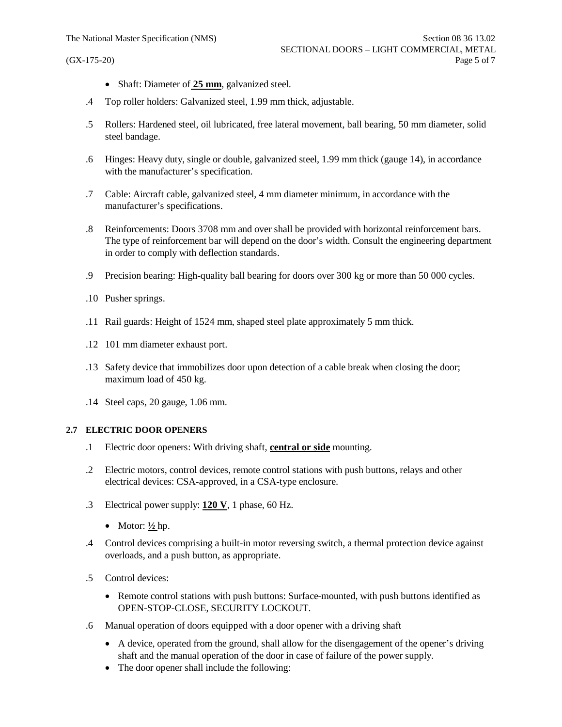- · Shaft: Diameter of **25 mm**, galvanized steel.
- .4 Top roller holders: Galvanized steel, 1.99 mm thick, adjustable.
- .5 Rollers: Hardened steel, oil lubricated, free lateral movement, ball bearing, 50 mm diameter, solid steel bandage.
- .6 Hinges: Heavy duty, single or double, galvanized steel, 1.99 mm thick (gauge 14), in accordance with the manufacturer's specification.
- .7 Cable: Aircraft cable, galvanized steel, 4 mm diameter minimum, in accordance with the manufacturer's specifications.
- .8 Reinforcements: Doors 3708 mm and over shall be provided with horizontal reinforcement bars. The type of reinforcement bar will depend on the door's width. Consult the engineering department in order to comply with deflection standards.
- .9 Precision bearing: High-quality ball bearing for doors over 300 kg or more than 50 000 cycles.
- .10 Pusher springs.
- .11 Rail guards: Height of 1524 mm, shaped steel plate approximately 5 mm thick.
- .12 101 mm diameter exhaust port.
- .13 Safety device that immobilizes door upon detection of a cable break when closing the door; maximum load of 450 kg.
- .14 Steel caps, 20 gauge, 1.06 mm.

## **2.7 ELECTRIC DOOR OPENERS**

- .1 Electric door openers: With driving shaft, **central or side** mounting.
- .2 Electric motors, control devices, remote control stations with push buttons, relays and other electrical devices: CSA-approved, in a CSA-type enclosure.
- .3 Electrical power supply: **120 V**, 1 phase, 60 Hz.
	- Motor:  $\frac{1}{2}$  hp.
- .4 Control devices comprising a built-in motor reversing switch, a thermal protection device against overloads, and a push button, as appropriate.
- .5 Control devices:
	- Remote control stations with push buttons: Surface-mounted, with push buttons identified as OPEN-STOP-CLOSE, SECURITY LOCKOUT.
- .6 Manual operation of doors equipped with a door opener with a driving shaft
	- · A device, operated from the ground, shall allow for the disengagement of the opener's driving shaft and the manual operation of the door in case of failure of the power supply.
	- The door opener shall include the following: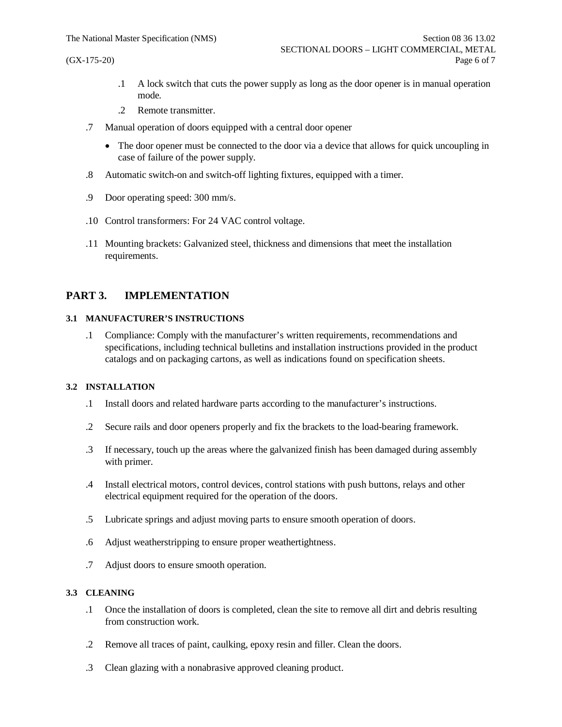- .1 A lock switch that cuts the power supply as long as the door opener is in manual operation mode.
- .2 Remote transmitter.
- .7 Manual operation of doors equipped with a central door opener
	- The door opener must be connected to the door via a device that allows for quick uncoupling in case of failure of the power supply.
- .8 Automatic switch-on and switch-off lighting fixtures, equipped with a timer.
- .9 Door operating speed: 300 mm/s.
- .10 Control transformers: For 24 VAC control voltage.
- .11 Mounting brackets: Galvanized steel, thickness and dimensions that meet the installation requirements.

## **PART 3. IMPLEMENTATION**

## **3.1 MANUFACTURER'S INSTRUCTIONS**

.1 Compliance: Comply with the manufacturer's written requirements, recommendations and specifications, including technical bulletins and installation instructions provided in the product catalogs and on packaging cartons, as well as indications found on specification sheets.

#### **3.2 INSTALLATION**

- .1 Install doors and related hardware parts according to the manufacturer's instructions.
- .2 Secure rails and door openers properly and fix the brackets to the load-bearing framework.
- .3 If necessary, touch up the areas where the galvanized finish has been damaged during assembly with primer.
- .4 Install electrical motors, control devices, control stations with push buttons, relays and other electrical equipment required for the operation of the doors.
- .5 Lubricate springs and adjust moving parts to ensure smooth operation of doors.
- .6 Adjust weatherstripping to ensure proper weathertightness.
- .7 Adjust doors to ensure smooth operation.

#### **3.3 CLEANING**

- .1 Once the installation of doors is completed, clean the site to remove all dirt and debris resulting from construction work.
- .2 Remove all traces of paint, caulking, epoxy resin and filler. Clean the doors.
- .3 Clean glazing with a nonabrasive approved cleaning product.